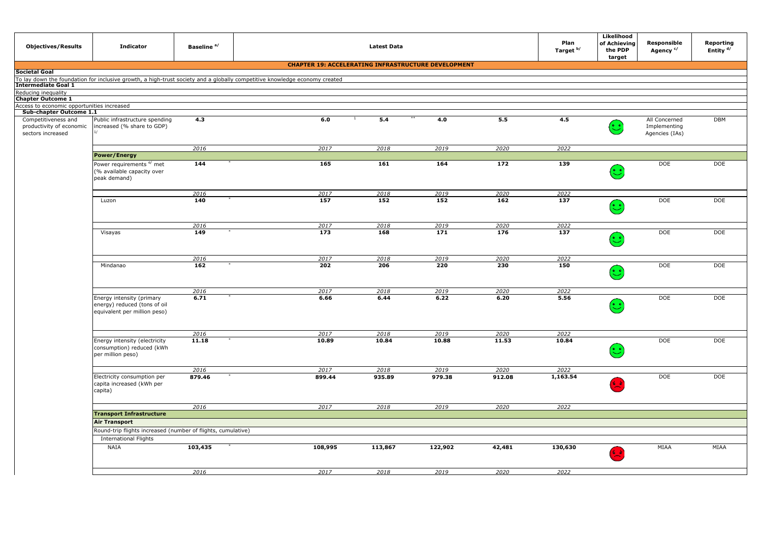| <b>Objectives/Results</b>                                            | <b>Indicator</b>                                                                                                           | Baseline <sup>a/</sup> |                                                            | <b>Latest Data</b> |               |               | Plan<br>Target <sup>b/</sup> | Likelihood<br>of Achieving<br>the PDP<br>target | Responsible<br>Agency <sup>c/</sup>             | Reporting<br>Entity <sup>d/</sup> |
|----------------------------------------------------------------------|----------------------------------------------------------------------------------------------------------------------------|------------------------|------------------------------------------------------------|--------------------|---------------|---------------|------------------------------|-------------------------------------------------|-------------------------------------------------|-----------------------------------|
|                                                                      |                                                                                                                            |                        | <b>CHAPTER 19: ACCELERATING INFRASTRUCTURE DEVELOPMENT</b> |                    |               |               |                              |                                                 |                                                 |                                   |
| Societal Goal                                                        |                                                                                                                            |                        |                                                            |                    |               |               |                              |                                                 |                                                 |                                   |
| Intermediate Goal 1                                                  | To lay down the foundation for inclusive growth, a high-trust society and a globally competitive knowledge economy created |                        |                                                            |                    |               |               |                              |                                                 |                                                 |                                   |
| Reducing inequality                                                  |                                                                                                                            |                        |                                                            |                    |               |               |                              |                                                 |                                                 |                                   |
| <b>Chapter Outcome 1</b>                                             |                                                                                                                            |                        |                                                            |                    |               |               |                              |                                                 |                                                 |                                   |
| Access to economic opportunities increased                           |                                                                                                                            |                        |                                                            |                    |               |               |                              |                                                 |                                                 |                                   |
| Sub-chapter Outcome 1.1                                              |                                                                                                                            |                        | $\mathbf{1}$                                               | **                 |               |               |                              |                                                 |                                                 |                                   |
| Competitiveness and<br>productivity of economic<br>sectors increased | Public infrastructure spending<br>increased (% share to GDP)                                                               | 4.3                    | 6.0                                                        | 5.4                | 4.0           | 5.5           | 4.5                          | ಲ                                               | All Concerned<br>Implementing<br>Agencies (IAs) | <b>DBM</b>                        |
|                                                                      |                                                                                                                            | 2016                   | 2017                                                       | 2018               | 2019          | 2020          | 2022                         |                                                 |                                                 |                                   |
|                                                                      | <b>Power/Energy</b>                                                                                                        |                        |                                                            |                    |               |               |                              |                                                 |                                                 |                                   |
|                                                                      | Power requirements e/ met                                                                                                  | 144                    | 165                                                        | 161                | 164           | 172           | 139                          |                                                 | <b>DOE</b>                                      | <b>DOE</b>                        |
|                                                                      | (% available capacity over<br>peak demand)                                                                                 |                        |                                                            |                    |               |               |                              | $(\cdot)$                                       |                                                 |                                   |
|                                                                      |                                                                                                                            | 2016                   | 2017                                                       | 2018               | 2019          | 2020          | 2022                         |                                                 |                                                 |                                   |
|                                                                      | Luzon                                                                                                                      | 140                    | 157                                                        | 152                | 152           | 162           | 137                          | $(\cdot)$                                       | DOE                                             | <b>DOE</b>                        |
|                                                                      |                                                                                                                            | 2016                   | 2017                                                       | 2018               | 2019          | 2020          | 2022                         |                                                 |                                                 |                                   |
|                                                                      | Visayas                                                                                                                    | 149                    | $\overline{173}$                                           | 168                | 171           | 176           | 137                          | $(\cdot)$                                       | <b>DOE</b>                                      | <b>DOE</b>                        |
|                                                                      |                                                                                                                            | 2016                   | 2017                                                       | 2018               | 2019          | 2020          | 2022                         |                                                 |                                                 |                                   |
|                                                                      | Mindanao                                                                                                                   | 162                    | 202                                                        | 206                | 220           | 230           | 150                          | $(\cdot)$                                       | <b>DOE</b>                                      | <b>DOE</b>                        |
|                                                                      |                                                                                                                            | 2016                   | 2017                                                       | 2018               | 2019          | 2020          | 2022                         |                                                 |                                                 |                                   |
|                                                                      | Energy intensity (primary<br>energy) reduced (tons of oil<br>equivalent per million peso)                                  | 6.71                   | 6.66                                                       | 6.44               | 6.22          | 6.20          | 5.56                         | $(\ddot{\mathbb{C}})$                           | DOE                                             | DOE                               |
|                                                                      |                                                                                                                            |                        |                                                            |                    |               |               |                              |                                                 |                                                 |                                   |
|                                                                      | Energy intensity (electricity<br>consumption) reduced (kWh<br>per million peso)                                            | 2016<br>11.18          | 2017<br>10.89                                              | 2018<br>10.84      | 2019<br>10.88 | 2020<br>11.53 | 2022<br>10.84                | (•_•                                            | DOE                                             | DOE                               |
|                                                                      |                                                                                                                            | 2016                   | 2017                                                       | 2018               | 2019          | 2020          | 2022                         |                                                 |                                                 |                                   |
|                                                                      | Electricity consumption per<br>capita increased (kWh per<br>capita)                                                        | 879.46                 | 899.44                                                     | 935.89             | 979.38        | 912.08        | 1,163.54                     |                                                 | DOE                                             | DOE                               |
|                                                                      |                                                                                                                            | 2016                   | 2017                                                       | 2018               | 2019          | 2020          | 2022                         |                                                 |                                                 |                                   |
|                                                                      | <b>Transport Infrastructure</b>                                                                                            |                        |                                                            |                    |               |               |                              |                                                 |                                                 |                                   |
|                                                                      | <b>Air Transport</b>                                                                                                       |                        |                                                            |                    |               |               |                              |                                                 |                                                 |                                   |
|                                                                      | Round-trip flights increased (number of flights, cumulative)                                                               |                        |                                                            |                    |               |               |                              |                                                 |                                                 |                                   |
|                                                                      | <b>International Flights</b>                                                                                               |                        |                                                            |                    |               |               |                              |                                                 |                                                 |                                   |
|                                                                      | <b>NAIA</b>                                                                                                                | 103,435                | 108,995                                                    | 113,867            | 122,902       | 42,481        | 130,630                      | 68                                              | MIAA                                            | MIAA                              |
|                                                                      |                                                                                                                            | 2016                   | 2017                                                       | 2018               | 2019          | 2020          | 2022                         |                                                 |                                                 |                                   |
|                                                                      |                                                                                                                            |                        |                                                            |                    |               |               |                              |                                                 |                                                 |                                   |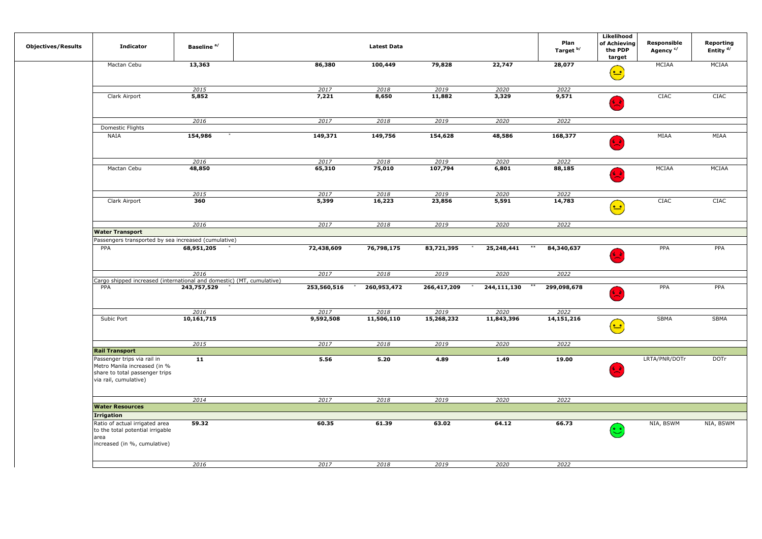| <b>Objectives/Results</b> | <b>Indicator</b>                                                                                                       | Baseline <sup>a/</sup> |                | <b>Latest Data</b> |                 |               | Plan<br>Target <sup>b/</sup> | Likelihood<br>of Achieving<br>the PDP<br>target                      | Responsible<br>Agency <sup>c/</sup> | Reporting<br>Entity <sup>d/</sup> |  |
|---------------------------|------------------------------------------------------------------------------------------------------------------------|------------------------|----------------|--------------------|-----------------|---------------|------------------------------|----------------------------------------------------------------------|-------------------------------------|-----------------------------------|--|
|                           | Mactan Cebu                                                                                                            | 13,363                 | 86,380         | 100,449            | 79,828          | 22,747        | 28,077                       |                                                                      | MCIAA                               | MCIAA                             |  |
|                           |                                                                                                                        |                        |                |                    |                 |               |                              | $\left(\frac{\bullet}{\bullet}\right)$                               |                                     |                                   |  |
|                           |                                                                                                                        | 2015                   | 2017           | 2018               | 2019            | 2020          | 2022                         |                                                                      |                                     |                                   |  |
|                           | Clark Airport                                                                                                          | 5,852                  | 7,221          | 8,650              | 11,882          | 3,329         | 9,571                        |                                                                      | CIAC                                | CIAC                              |  |
|                           |                                                                                                                        |                        |                |                    |                 |               |                              | 64                                                                   |                                     |                                   |  |
|                           |                                                                                                                        | 2016                   | 2017           | 2018               | 2019            | 2020          | 2022                         |                                                                      |                                     |                                   |  |
|                           | Domestic Flights                                                                                                       |                        |                |                    |                 |               |                              |                                                                      |                                     |                                   |  |
|                           | <b>NAIA</b>                                                                                                            | 154,986                | 149,371        | 149,756            | 154,628         | 48,586        | 168,377                      | د ،                                                                  | MIAA                                | MIAA                              |  |
|                           |                                                                                                                        |                        |                |                    |                 |               |                              |                                                                      |                                     |                                   |  |
|                           | Mactan Cebu                                                                                                            | 2016<br>48,850         | 2017<br>65,310 | 2018<br>75,010     | 2019<br>107,794 | 2020<br>6,801 | 2022<br>88,185               |                                                                      | MCIAA                               | MCIAA                             |  |
|                           |                                                                                                                        |                        |                |                    |                 |               |                              | د ،                                                                  |                                     |                                   |  |
|                           |                                                                                                                        | 2015                   | 2017           | 2018               | 2019            | 2020          | 2022                         |                                                                      |                                     |                                   |  |
|                           | Clark Airport                                                                                                          | 360                    | 5,399          | 16,223             | 23,856          | 5,591         | 14,783                       | $\left(\begin{smallmatrix}\bullet & \bullet\end{smallmatrix}\right)$ | CIAC                                | CIAC                              |  |
|                           |                                                                                                                        | 2016                   | 2017           | 2018               | 2019            | 2020          | 2022                         |                                                                      |                                     |                                   |  |
|                           | <b>Water Transport</b>                                                                                                 |                        |                |                    |                 |               |                              |                                                                      |                                     |                                   |  |
|                           | Passengers transported by sea increased (cumulative)                                                                   |                        |                |                    |                 |               |                              |                                                                      |                                     |                                   |  |
|                           | PPA                                                                                                                    | 68,951,205             | 72,438,609     | 76,798,175         | 83,721,395      | 25,248,441    | 84,340,637                   | 分子                                                                   | PPA                                 | PPA                               |  |
|                           |                                                                                                                        | 2016                   | 2017           | 2018               | 2019            | 2020          | 2022                         |                                                                      |                                     |                                   |  |
|                           | Cargo shipped increased (international and domestic) (MT, cumulative)                                                  |                        |                |                    |                 |               |                              |                                                                      |                                     |                                   |  |
|                           | PPA                                                                                                                    | 243,757,529            | 253,560,516    | 260,953,472        | 266,417,209     | 244,111,130   | 299,098,678                  | الاية                                                                | PPA                                 | PPA                               |  |
|                           |                                                                                                                        | 2016                   | 2017           | 2018               | 2019            | 2020          | 2022                         |                                                                      |                                     |                                   |  |
|                           | Subic Port                                                                                                             | 10,161,715             | 9,592,508      | 11,506,110         | 15,268,232      | 11,843,396    | 14,151,216                   | $(\textcolor{red}{\bullet}\textcolor{blue}{\bullet}$                 | SBMA                                | SBMA                              |  |
|                           |                                                                                                                        | 2015                   | 2017           | 2018               | 2019            | 2020          | 2022                         |                                                                      |                                     |                                   |  |
|                           | <b>Rail Transport</b>                                                                                                  |                        |                |                    |                 |               |                              |                                                                      |                                     |                                   |  |
|                           | Passenger trips via rail in<br>Metro Manila increased (in %<br>share to total passenger trips<br>via rail, cumulative) | 11                     | 5.56           | 5.20               | 4.89            | 1.49          | 19.00                        |                                                                      | LRTA/PNR/DOTr                       | <b>DOTr</b>                       |  |
|                           |                                                                                                                        | 2014                   | 2017           | 2018               | 2019            | 2020          | 2022                         |                                                                      |                                     |                                   |  |
|                           | <b>Water Resources</b>                                                                                                 |                        |                |                    |                 |               |                              |                                                                      |                                     |                                   |  |
|                           | Irrigation                                                                                                             |                        |                |                    |                 |               |                              |                                                                      |                                     |                                   |  |
|                           | Ratio of actual irrigated area<br>to the total potential irrigable<br>area<br>increased (in %, cumulative)             | 59.32                  | 60.35          | 61.39              | 63.02           | 64.12         | 66.73                        | $\left(\begin{matrix}\cdot\\ \cdot\end{matrix}\right)$               | NIA, BSWM                           | NIA, BSWM                         |  |
|                           |                                                                                                                        | 2016                   | 2017           | 2018               | 2019            | 2020          | 2022                         |                                                                      |                                     |                                   |  |
|                           |                                                                                                                        |                        |                |                    |                 |               |                              |                                                                      |                                     |                                   |  |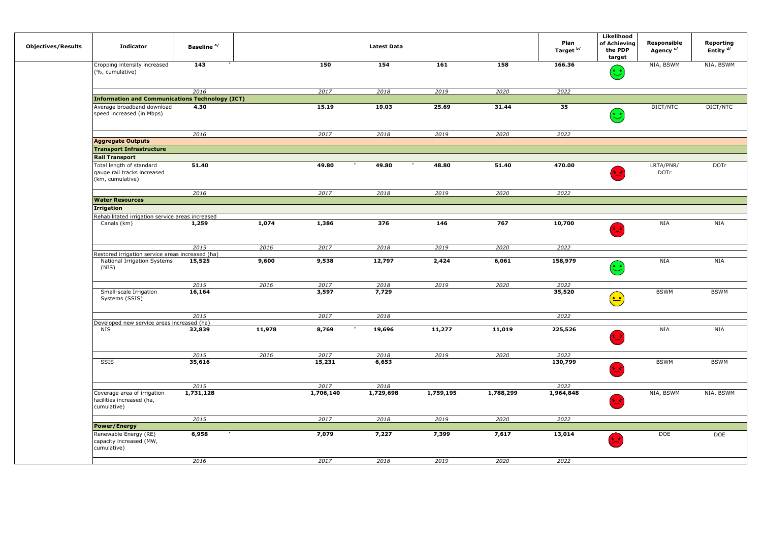| <b>Objectives/Results</b> | <b>Indicator</b>                                                            | Baseline <sup>a/</sup> |        |                  | <b>Latest Data</b> |           |           | Plan<br>Target <sup>b/</sup> | Likelihood<br>of Achieving<br>the PDP<br>target      | Responsible<br>Agency <sup>c/</sup> | Reporting<br>Entity $d/$ |
|---------------------------|-----------------------------------------------------------------------------|------------------------|--------|------------------|--------------------|-----------|-----------|------------------------------|------------------------------------------------------|-------------------------------------|--------------------------|
|                           | Cropping intensity increased<br>(%, cumulative)                             | $\overline{143}$       |        | 150              | 154                | 161       | 158       | 166.36                       | $\mathbf{\hat{c}}$                                   | NIA, BSWM                           | NIA, BSWM                |
|                           |                                                                             | 2016                   |        | 2017             | 2018               | 2019      | 2020      | 2022                         |                                                      |                                     |                          |
|                           | <b>Information and Communications Technology (ICT)</b>                      |                        |        |                  |                    |           |           |                              |                                                      |                                     |                          |
|                           | Average broadband download<br>speed increased (in Mbps)                     | 4.30                   |        | 15.19            | 19.03              | 25.69     | 31.44     | 35                           | $(\cdot)$                                            | DICT/NTC                            | DICT/NTC                 |
|                           |                                                                             | 2016                   |        | 2017             | 2018               | 2019      | 2020      | 2022                         |                                                      |                                     |                          |
|                           | <b>Aggregate Outputs</b>                                                    |                        |        |                  |                    |           |           |                              |                                                      |                                     |                          |
|                           | <b>Transport Infrastructure</b>                                             |                        |        |                  |                    |           |           |                              |                                                      |                                     |                          |
|                           | <b>Rail Transport</b>                                                       |                        |        |                  |                    |           |           |                              |                                                      |                                     |                          |
|                           | Total length of standard<br>gauge rail tracks increased<br>(km, cumulative) | 51.40                  |        | 49.80            | 49.80              | 48.80     | 51.40     | 470.00                       |                                                      | LRTA/PNR/<br><b>DOTr</b>            | <b>DOTr</b>              |
|                           |                                                                             | 2016                   |        | 2017             | 2018               | 2019      | 2020      | 2022                         |                                                      |                                     |                          |
|                           | <b>Water Resources</b>                                                      |                        |        |                  |                    |           |           |                              |                                                      |                                     |                          |
|                           | <b>Irrigation</b>                                                           |                        |        |                  |                    |           |           |                              |                                                      |                                     |                          |
|                           | Rehabilitated irrigation service areas increased                            |                        |        |                  |                    |           |           |                              |                                                      |                                     |                          |
|                           | Canals (km)                                                                 | 1,259                  | 1,074  | 1,386            | 376                | 146       | 767       | 10,700                       | 分录                                                   | NIA                                 | NIA                      |
|                           |                                                                             | 2015                   | 2016   | 2017             | 2018               | 2019      | 2020      | 2022                         |                                                      |                                     |                          |
|                           | Restored irrigation service areas increased (ha)                            |                        |        |                  |                    |           |           |                              |                                                      |                                     |                          |
|                           | National Irrigation Systems<br>(NIS)                                        | 15,525                 | 9,600  | 9,538            | 12,797             | 2,424     | 6,061     | 158,979                      | $\mathbf{C}$                                         | NIA                                 | <b>NIA</b>               |
|                           |                                                                             | 2015                   | 2016   | 2017             | 2018               | 2019      | 2020      | 2022                         |                                                      |                                     |                          |
|                           | Small-scale Irrigation<br>Systems (SSIS)                                    | 16,164                 |        | 3,597            | 7,729              |           |           | 35,520                       | $(\textcolor{red}{\bullet}\textcolor{blue}{\bullet}$ | <b>BSWM</b>                         | <b>BSWM</b>              |
|                           |                                                                             | 2015                   |        | 2017             | 2018               |           |           | 2022                         |                                                      |                                     |                          |
|                           | Developed new service areas increased (ha)                                  |                        |        |                  |                    |           |           |                              |                                                      |                                     |                          |
|                           | NIS                                                                         | 32,839                 | 11,978 | 8,769            | 19,696             | 11,277    | 11,019    | 225,526                      | 65                                                   | NIA                                 | <b>NIA</b>               |
|                           |                                                                             | 2015                   | 2016   | 2017             | 2018               | 2019      | 2020      | 2022                         |                                                      |                                     |                          |
|                           | SSIS                                                                        | 35,616                 |        | 15,231           | 6,653              |           |           | 130,799                      | د <mark>ک</mark>                                     | <b>BSWM</b>                         | <b>BSWM</b>              |
|                           |                                                                             | 2015                   |        | $\frac{2017}{ }$ | 2018               |           |           | 2022                         |                                                      |                                     |                          |
|                           | Coverage area of irrigation<br>facilities increased (ha,<br>cumulative)     | 1,731,128              |        | 1,706,140        | 1,729,698          | 1,759,195 | 1,788,299 | 1,964,848                    | 分子                                                   | NIA, BSWM                           | NIA, BSWM                |
|                           |                                                                             | 2015                   |        | 2017             | 2018               | 2019      | 2020      | 2022                         |                                                      |                                     |                          |
|                           | <b>Power/Energy</b>                                                         |                        |        |                  |                    |           |           |                              |                                                      |                                     |                          |
|                           | Renewable Energy (RE)<br>capacity increased (MW,<br>cumulative)             | 6,958                  |        | 7,079            | 7,227              | 7,399     | 7,617     | 13,014                       |                                                      | DOE                                 | <b>DOE</b>               |
|                           |                                                                             | 2016                   |        | 2017             | 2018               | 2019      | 2020      | 2022                         |                                                      |                                     |                          |
|                           |                                                                             |                        |        |                  |                    |           |           |                              |                                                      |                                     |                          |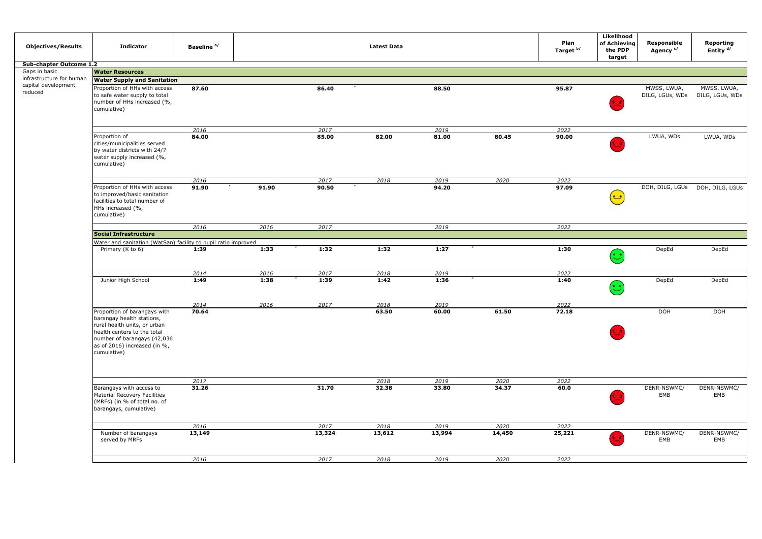| <b>Objectives/Results</b>      | <b>Indicator</b>                                                                                                                                                                                       | Baseline <sup>a/</sup> |       |                | <b>Latest Data</b> |                |                | Plan<br>Target <sup>b/</sup> | Likelihood<br>of Achieving<br>the PDP<br>target            | Responsible<br>Agency <sup>c/</sup> | Reporting<br>Entity <sup>d/</sup> |
|--------------------------------|--------------------------------------------------------------------------------------------------------------------------------------------------------------------------------------------------------|------------------------|-------|----------------|--------------------|----------------|----------------|------------------------------|------------------------------------------------------------|-------------------------------------|-----------------------------------|
| Sub-chapter Outcome 1.2        |                                                                                                                                                                                                        |                        |       |                |                    |                |                |                              |                                                            |                                     |                                   |
| Gaps in basic                  | <b>Water Resources</b>                                                                                                                                                                                 |                        |       |                |                    |                |                |                              |                                                            |                                     |                                   |
| infrastructure for human       | <b>Water Supply and Sanitation</b>                                                                                                                                                                     |                        |       |                |                    |                |                |                              |                                                            |                                     |                                   |
| capital development<br>reduced | Proportion of HHs with access<br>to safe water supply to total<br>number of HHs increased (%,<br>cumulative)                                                                                           | 87.60                  |       | 86.40          |                    | 88.50          |                | 95.87                        |                                                            | MWSS, LWUA,<br>DILG, LGUs, WDs      | MWSS, LWUA,<br>DILG, LGUs, WDs    |
|                                |                                                                                                                                                                                                        |                        |       |                |                    |                |                |                              |                                                            |                                     |                                   |
|                                |                                                                                                                                                                                                        | 2016                   |       | 2017           |                    | 2019           |                | 2022                         |                                                            |                                     |                                   |
|                                | Proportion of<br>cities/municipalities served<br>by water districts with 24/7<br>water supply increased (%,<br>cumulative)                                                                             | 84.00                  |       | 85.00          | 82.00              | 81.00          | 80.45          | 90.00                        |                                                            | LWUA, WDs                           | LWUA, WDs                         |
|                                |                                                                                                                                                                                                        | 2016                   |       | 2017           | 2018               | 2019           | 2020           | 2022                         |                                                            |                                     |                                   |
|                                | Proportion of HHs with access<br>to improved/basic sanitation<br>facilities to total number of<br>HHs increased (%,<br>cumulative)                                                                     | 91.90                  | 91.90 | 90.50          |                    | 94.20          |                | 97.09                        | ( <u>• •</u>                                               | DOH, DILG, LGUs                     | DOH, DILG, LGUs                   |
|                                |                                                                                                                                                                                                        | 2016                   | 2016  | 2017           |                    | 2019           |                | 2022                         |                                                            |                                     |                                   |
|                                | <b>Social Infrastructure</b>                                                                                                                                                                           |                        |       |                |                    |                |                |                              |                                                            |                                     |                                   |
|                                | Water and sanitation (WatSan) facility to pupil ratio improved                                                                                                                                         |                        |       |                |                    |                |                |                              |                                                            |                                     |                                   |
|                                | Primary (K to 6)                                                                                                                                                                                       | 1:39                   | 1:33  | 1:32           | 1:32               | 1:27           |                | 1:30                         | $\left(\begin{smallmatrix}\bullet\end{smallmatrix}\right)$ | DepEd                               | DepEd                             |
|                                |                                                                                                                                                                                                        | 2014                   | 2016  | 2017           | 2018               | 2019           |                | 2022                         |                                                            |                                     |                                   |
|                                | Junior High School                                                                                                                                                                                     | 1:49                   | 1:38  | 1:39           | 1:42               | 1:36           |                | 1:40                         | $\bigcirc$                                                 | DepEd                               | DepEd                             |
|                                |                                                                                                                                                                                                        | 2014                   | 2016  | 2017           | 2018               | 2019           |                | 2022                         |                                                            |                                     |                                   |
|                                | Proportion of barangays with<br>barangay health stations,<br>rural health units, or urban<br>health centers to the total<br>number of barangays (42,036<br>as of 2016) increased (in %,<br>cumulative) | 70.64                  |       |                | 63.50              | 60.00          | 61.50          | 72.18                        |                                                            | <b>DOH</b>                          | <b>DOH</b>                        |
|                                |                                                                                                                                                                                                        | 2017                   |       |                | 2018               | 2019           | 2020           | 2022                         |                                                            |                                     |                                   |
|                                | Barangays with access to<br>Material Recovery Facilities<br>(MRFs) (in % of total no. of<br>barangays, cumulative)                                                                                     | 31.26                  |       | 31.70          | 32.38              | 33.80          | 34.37          | 60.0                         |                                                            | DENR-NSWMC/<br>EMB                  | DENR-NSWMC/<br>EMB                |
|                                |                                                                                                                                                                                                        |                        |       |                |                    |                |                |                              |                                                            |                                     |                                   |
|                                | Number of barangays                                                                                                                                                                                    | 2016<br>13,149         |       | 2017<br>13,324 | 2018<br>13,612     | 2019<br>13,994 | 2020<br>14,450 | 2022<br>25,221               |                                                            | DENR-NSWMC/                         | DENR-NSWMC/                       |
|                                | served by MRFs                                                                                                                                                                                         |                        |       |                |                    |                |                |                              |                                                            | EMB                                 | EMB                               |
|                                |                                                                                                                                                                                                        | 2016                   |       | 2017           | 2018               | 2019           | 2020           | 2022                         |                                                            |                                     |                                   |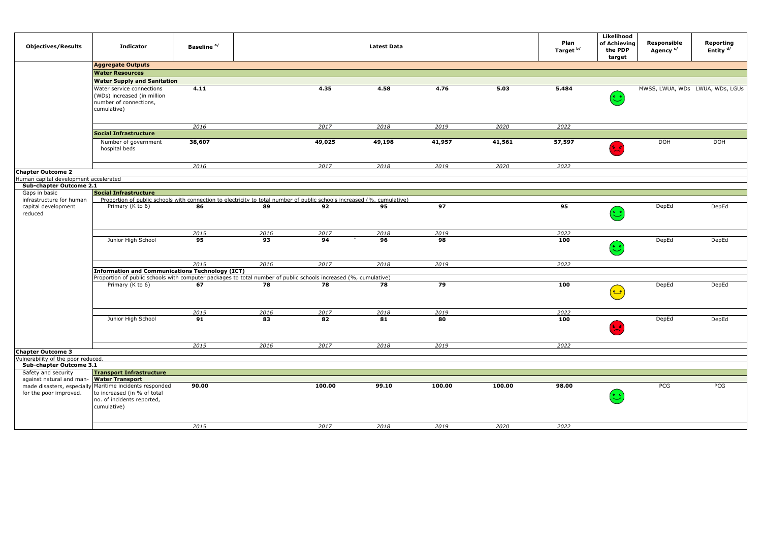| <b>Objectives/Results</b>                                          | <b>Indicator</b>                                                                                                        | Baseline <sup>a/</sup> |      |        | <b>Latest Data</b> |        |        | Plan<br>Target <sup>b/</sup> | Likelihood<br>of Achieving<br>the PDP<br>target                       | Responsible<br>Agency <sup>c/</sup> | Reporting<br>Entity $d/$        |
|--------------------------------------------------------------------|-------------------------------------------------------------------------------------------------------------------------|------------------------|------|--------|--------------------|--------|--------|------------------------------|-----------------------------------------------------------------------|-------------------------------------|---------------------------------|
|                                                                    | <b>Aggregate Outputs</b>                                                                                                |                        |      |        |                    |        |        |                              |                                                                       |                                     |                                 |
|                                                                    | <b>Water Resources</b>                                                                                                  |                        |      |        |                    |        |        |                              |                                                                       |                                     |                                 |
|                                                                    | <b>Water Supply and Sanitation</b>                                                                                      |                        |      |        |                    |        |        |                              |                                                                       |                                     |                                 |
|                                                                    | Water service connections<br>(WDs) increased (in million<br>number of connections,<br>cumulative)                       | 4.11                   |      | 4.35   | 4.58               | 4.76   | 5.03   | 5.484                        | $(\ddot{\mathbin{\raisebox{1.5pt}{.}}\mathbin{\raisebox{1.5pt}{.}}})$ |                                     | MWSS, LWUA, WDs LWUA, WDs, LGUs |
|                                                                    |                                                                                                                         |                        |      |        |                    |        |        |                              |                                                                       |                                     |                                 |
|                                                                    | <b>Social Infrastructure</b>                                                                                            | 2016                   |      | 2017   | 2018               | 2019   | 2020   | 2022                         |                                                                       |                                     |                                 |
|                                                                    | Number of government<br>hospital beds                                                                                   | 38,607                 |      | 49,025 | 49,198             | 41,957 | 41,561 | 57,597                       |                                                                       | DOH                                 | <b>DOH</b>                      |
|                                                                    |                                                                                                                         | 2016                   |      | 2017   | 2018               | 2019   | 2020   | 2022                         |                                                                       |                                     |                                 |
| <b>Chapter Outcome 2</b>                                           |                                                                                                                         |                        |      |        |                    |        |        |                              |                                                                       |                                     |                                 |
| Human capital development accelerated<br>Sub-chapter Outcome 2.1   |                                                                                                                         |                        |      |        |                    |        |        |                              |                                                                       |                                     |                                 |
| Gaps in basic                                                      | <b>Social Infrastructure</b>                                                                                            |                        |      |        |                    |        |        |                              |                                                                       |                                     |                                 |
| infrastructure for human                                           | Proportion of public schools with connection to electricity to total number of public schools increased (%, cumulative) |                        |      |        |                    |        |        |                              |                                                                       |                                     |                                 |
| capital development<br>reduced                                     | Primary (K to 6)                                                                                                        | 86                     | 89   | 92     | 95                 | 97     |        | 95                           | $\mathbf{C}$                                                          | DepEd                               | DepEd                           |
|                                                                    |                                                                                                                         | 2015                   | 2016 | 2017   | 2018               | 2019   |        | 2022                         |                                                                       |                                     |                                 |
|                                                                    | Junior High School                                                                                                      | 95                     | 93   | 94     | 96                 | 98     |        | 100                          | ಲ                                                                     | DepEd                               | DepEd                           |
|                                                                    |                                                                                                                         | 2015                   | 2016 | 2017   | 2018               | 2019   |        | 2022                         |                                                                       |                                     |                                 |
|                                                                    | <b>Information and Communications Technology (ICT)</b>                                                                  |                        |      |        |                    |        |        |                              |                                                                       |                                     |                                 |
|                                                                    | Proportion of public schools with computer packages to total number of public schools increased (%, cumulative)         |                        |      |        |                    |        |        |                              |                                                                       |                                     |                                 |
|                                                                    | Primary (K to 6)                                                                                                        | 67                     | 78   | 78     | 78                 | 79     |        | 100                          | ≅                                                                     | DepEd                               | DepEd                           |
|                                                                    |                                                                                                                         | 2015                   | 2016 | 2017   | 2018               | 2019   |        | 2022                         |                                                                       |                                     |                                 |
|                                                                    | Junior High School                                                                                                      | 91                     | 83   | 82     | 81                 | 80     |        | 100                          |                                                                       | DepEd                               | DepEd                           |
|                                                                    |                                                                                                                         | 2015                   | 2016 | 2017   | 2018               | 2019   |        | 2022                         |                                                                       |                                     |                                 |
| <b>Chapter Outcome 3</b>                                           |                                                                                                                         |                        |      |        |                    |        |        |                              |                                                                       |                                     |                                 |
| Vulnerability of the poor reduced.                                 |                                                                                                                         |                        |      |        |                    |        |        |                              |                                                                       |                                     |                                 |
| Sub-chapter Outcome 3.1                                            |                                                                                                                         |                        |      |        |                    |        |        |                              |                                                                       |                                     |                                 |
| Safety and security                                                | <b>Transport Infrastructure</b>                                                                                         |                        |      |        |                    |        |        |                              |                                                                       |                                     |                                 |
| against natural and man- Water Transport<br>for the poor improved. | made disasters, especially Maritime incidents responded<br>to increased (in % of total                                  | 90.00                  |      | 100.00 | 99.10              | 100.00 | 100.00 | 98.00                        |                                                                       | PCG                                 | PCG                             |
|                                                                    | no. of incidents reported,<br>cumulative)                                                                               |                        |      |        |                    |        |        |                              |                                                                       |                                     |                                 |
|                                                                    |                                                                                                                         | 2015                   |      | 2017   | 2018               | 2019   | 2020   | 2022                         |                                                                       |                                     |                                 |